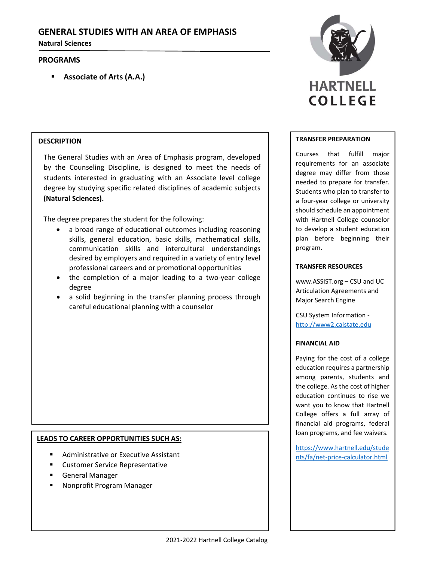# **GENERAL STUDIES WITH AN AREA OF EMPHASIS**

**Natural Sciences**

## **PROGRAMS**

**Associate of Arts (A.A.)**

## **DESCRIPTION**

The General Studies with an Area of Emphasis program, developed by the Counseling Discipline, is designed to meet the needs of students interested in graduating with an Associate level college degree by studying specific related disciplines of academic subjects **(Natural Sciences).**

The degree prepares the student for the following:

- a broad range of educational outcomes including reasoning skills, general education, basic skills, mathematical skills, communication skills and intercultural understandings desired by employers and required in a variety of entry level professional careers and or promotional opportunities
- the completion of a major leading to a two‐year college degree
- a solid beginning in the transfer planning process through careful educational planning with a counselor

## **LEADS TO CAREER OPPORTUNITIES SUCH AS:**

- Administrative or Executive Assistant
- Customer Service Representative
- General Manager
- Nonprofit Program Manager



#### **TRANSFER PREPARATION**

Courses that fulfill major requirements for an associate degree may differ from those needed to prepare for transfer. Students who plan to transfer to a four‐year college or university should schedule an appointment with Hartnell College counselor to develop a student education plan before beginning their program.

#### **TRANSFER RESOURCES**

www.ASSIST.org – CSU and UC Articulation Agreements and Major Search Engine

CSU System Information ‐ http://www2.calstate.edu

#### **FINANCIAL AID**

Paying for the cost of a college education requires a partnership among parents, students and the college. As the cost of higher education continues to rise we want you to know that Hartnell College offers a full array of financial aid programs, federal loan programs, and fee waivers.

https://www.hartnell.edu/stude nts/fa/net‐price‐calculator.html